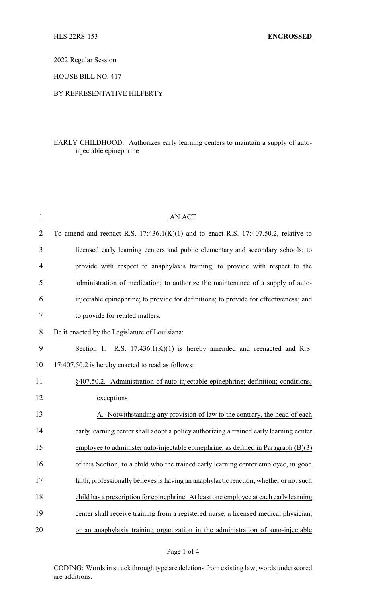2022 Regular Session

HOUSE BILL NO. 417

## BY REPRESENTATIVE HILFERTY

## EARLY CHILDHOOD: Authorizes early learning centers to maintain a supply of autoinjectable epinephrine

| $\mathbf{1}$   | <b>AN ACT</b>                                                                            |
|----------------|------------------------------------------------------------------------------------------|
| $\overline{2}$ | To amend and reenact R.S. $17:436.1(K)(1)$ and to enact R.S. $17:407.50.2$ , relative to |
| 3              | licensed early learning centers and public elementary and secondary schools; to          |
| $\overline{4}$ | provide with respect to anaphylaxis training; to provide with respect to the             |
| 5              | administration of medication; to authorize the maintenance of a supply of auto-          |
| 6              | injectable epinephrine; to provide for definitions; to provide for effectiveness; and    |
| 7              | to provide for related matters.                                                          |
| 8              | Be it enacted by the Legislature of Louisiana:                                           |
| 9              | Section 1. R.S. $17:436.1(K)(1)$ is hereby amended and reenacted and R.S.                |
| 10             | 17:407.50.2 is hereby enacted to read as follows:                                        |
| 11             | §407.50.2. Administration of auto-injectable epinephrine; definition; conditions;        |
| 12             | exceptions                                                                               |
| 13             | A. Notwithstanding any provision of law to the contrary, the head of each                |
| 14             | early learning center shall adopt a policy authorizing a trained early learning center   |
| 15             | employee to administer auto-injectable epinephrine, as defined in Paragraph $(B)(3)$     |
| 16             | of this Section, to a child who the trained early learning center employee, in good      |
| 17             | faith, professionally believes is having an anaphylactic reaction, whether or not such   |
| 18             | child has a prescription for epinephrine. At least one employee at each early learning   |
| 19             | center shall receive training from a registered nurse, a licensed medical physician,     |
| 20             | or an anaphylaxis training organization in the administration of auto-injectable         |

CODING: Words in struck through type are deletions from existing law; words underscored are additions.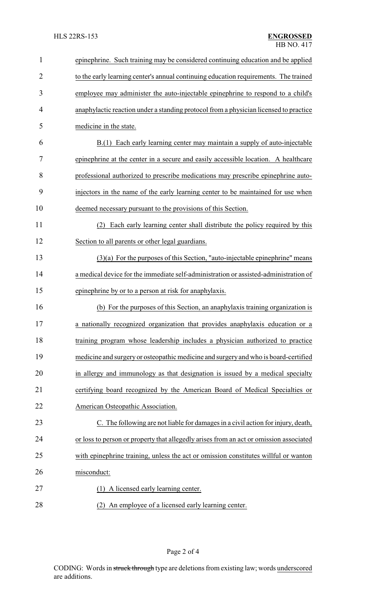| $\mathbf{1}$   | epinephrine. Such training may be considered continuing education and be applied       |
|----------------|----------------------------------------------------------------------------------------|
| $\overline{2}$ | to the early learning center's annual continuing education requirements. The trained   |
| 3              | employee may administer the auto-injectable epinephrine to respond to a child's        |
| 4              | anaphylactic reaction under a standing protocol from a physician licensed to practice  |
| 5              | medicine in the state.                                                                 |
| 6              | B.(1) Each early learning center may maintain a supply of auto-injectable              |
| 7              | epinephrine at the center in a secure and easily accessible location. A healthcare     |
| 8              | professional authorized to prescribe medications may prescribe epinephrine auto-       |
| 9              | injectors in the name of the early learning center to be maintained for use when       |
| 10             | deemed necessary pursuant to the provisions of this Section.                           |
| 11             | Each early learning center shall distribute the policy required by this<br>(2)         |
| 12             | Section to all parents or other legal guardians.                                       |
| 13             | $(3)(a)$ For the purposes of this Section, "auto-injectable epinephrine" means         |
| 14             | a medical device for the immediate self-administration or assisted-administration of   |
| 15             | epinephrine by or to a person at risk for anaphylaxis.                                 |
| 16             | (b) For the purposes of this Section, an anaphylaxis training organization is          |
| 17             | a nationally recognized organization that provides anaphylaxis education or a          |
| 18             | training program whose leadership includes a physician authorized to practice          |
| 19             | medicine and surgery or osteopathic medicine and surgery and who is board-certified    |
| 20             | in allergy and immunology as that designation is issued by a medical specialty         |
| 21             | certifying board recognized by the American Board of Medical Specialties or            |
| 22             | American Osteopathic Association.                                                      |
| 23             | C. The following are not liable for damages in a civil action for injury, death,       |
| 24             | or loss to person or property that allegedly arises from an act or omission associated |
| 25             | with epinephrine training, unless the act or omission constitutes willful or wanton    |
| 26             | misconduct:                                                                            |
| 27             | (1) A licensed early learning center.                                                  |
| 28             | (2) An employee of a licensed early learning center.                                   |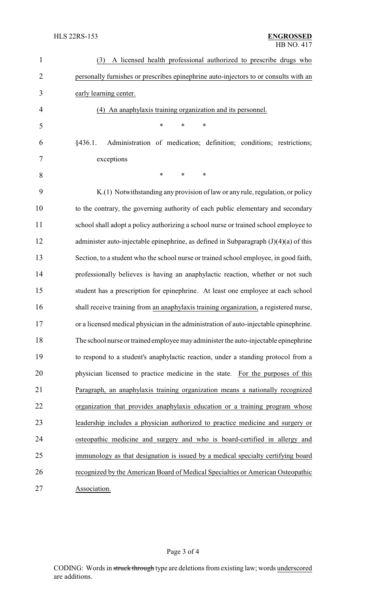| $\mathbf{1}$   | A licensed health professional authorized to prescribe drugs who<br>(3)                |
|----------------|----------------------------------------------------------------------------------------|
| $\overline{2}$ | personally furnishes or prescribes epinephrine auto-injectors to or consults with an   |
| 3              | early learning center.                                                                 |
| 4              | (4) An anaphylaxis training organization and its personnel.                            |
| 5              | $\ast$<br>$\ast$<br>∗                                                                  |
| 6              | Administration of medication; definition; conditions; restrictions;<br>§436.1.         |
| 7              | exceptions                                                                             |
| 8              | $\ast$<br>$\ast$<br>∗                                                                  |
| 9              | K.(1) Notwithstanding any provision of law or any rule, regulation, or policy          |
| 10             | to the contrary, the governing authority of each public elementary and secondary       |
| 11             | school shall adopt a policy authorizing a school nurse or trained school employee to   |
| 12             | administer auto-injectable epinephrine, as defined in Subparagraph $(J)(4)(a)$ of this |
| 13             | Section, to a student who the school nurse or trained school employee, in good faith,  |
| 14             | professionally believes is having an anaphylactic reaction, whether or not such        |
| 15             | student has a prescription for epinephrine. At least one employee at each school       |
| 16             | shall receive training from an anaphylaxis training organization, a registered nurse,  |
| 17             | or a licensed medical physician in the administration of auto-injectable epinephrine.  |
| 18             | The school nurse or trained employee may administer the auto-injectable epinephrine    |
| 19             | to respond to a student's anaphylactic reaction, under a standing protocol from a      |
| 20             | physician licensed to practice medicine in the state. For the purposes of this         |
| 21             | Paragraph, an anaphylaxis training organization means a nationally recognized          |
| 22             | organization that provides anaphylaxis education or a training program whose           |
| 23             | leadership includes a physician authorized to practice medicine and surgery or         |
| 24             | osteopathic medicine and surgery and who is board-certified in allergy and             |
| 25             | immunology as that designation is issued by a medical specialty certifying board       |
| 26             | recognized by the American Board of Medical Specialties or American Osteopathic        |
| 27             | Association.                                                                           |